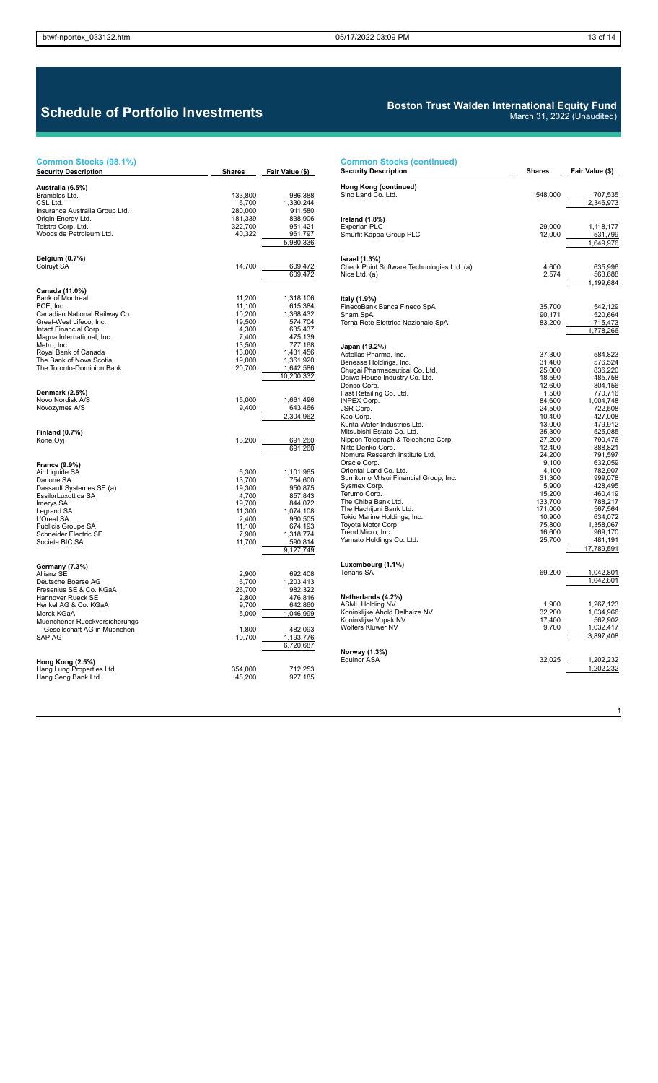$\overline{1}$ 

March 31, 2022 (Unaudited)

## **Schedule of Portfolio Investments**

#### **Common Stocks (98.1%)**

# **Common Stocks (continued) Security Description Shares Fair Value (\$)**

| <b>Security Description</b>                   | Shares          | <u>Fair Value (\$)</u> |
|-----------------------------------------------|-----------------|------------------------|
|                                               |                 |                        |
| Australia (6.5%)                              |                 |                        |
| Brambles Ltd.                                 | 133,800         | 986,388                |
| CSL Ltd.                                      | 6,700           | 1,330,244              |
| Insurance Australia Group Ltd.                | 280,000         | 911,580                |
| Origin Energy Ltd.                            | 181,339         | 838,906                |
| Telstra Corp. Ltd.<br>Woodside Petroleum Ltd. | 322,700         | 951,421                |
|                                               | 40,322          | 961,797<br>5,980,336   |
|                                               |                 |                        |
| <b>Belgium (0.7%)</b>                         |                 |                        |
| Colruyt SA                                    | 14,700          | 609,472                |
|                                               |                 | 609,472                |
|                                               |                 |                        |
| Canada (11.0%)                                |                 |                        |
| <b>Bank of Montreal</b>                       | 11,200          | 1,318,106              |
| BCE, Inc.                                     | 11,100          | 615,384                |
| Canadian National Railway Co.                 | 10,200          | 1,368,432              |
| Great-West Lifeco, Inc.                       | 19,500          | 574,704                |
| Intact Financial Corp.                        | 4,300           | 635,437                |
| Magna International, Inc.                     | 7,400           | 475,139                |
| Metro, Inc.                                   | 13,500          | 777,168                |
| Royal Bank of Canada                          | 13,000          | 1,431,456              |
| The Bank of Nova Scotia                       | 19,000          | 1,361,920              |
| The Toronto-Dominion Bank                     | 20,700          | 1,642,586              |
|                                               |                 | 10,200,332             |
|                                               |                 |                        |
| Denmark (2.5%)                                |                 |                        |
| Novo Nordisk A/S<br>Novozymes A/S             | 15,000<br>9,400 | 1,661,496<br>643,466   |
|                                               |                 | 2,304,962              |
|                                               |                 |                        |
| <b>Finland (0.7%)</b>                         |                 |                        |
| Kone Oyj                                      | 13,200          | 691,260                |
|                                               |                 | 691,260                |
|                                               |                 |                        |
| France (9.9%)                                 |                 |                        |
| Air Liquide SA                                | 6,300           | 1,101,965              |
| Danone SA                                     | 13,700          | 754,600                |
| Dassault Systemes SE (a)                      | 19,300          | 950,875                |
| EssilorLuxottica SA                           | 4,700           | 857,843                |
| Imerys SA                                     | 19,700          | 844,072                |
| Legrand SA                                    | 11,300          | 1,074,108              |
| L'Oreal SA                                    | 2,400           | 960,505                |
| Publicis Groupe SA                            | 11,100          | 674,193                |
| Schneider Electric SE<br>Societe BIC SA       | 7,900           | 1,318,774              |
|                                               | 11,700          | 590,814                |
|                                               |                 | 9,127,749              |
| Germany (7.3%)                                |                 |                        |
| Allianz SE                                    | 2,900           | 692,408                |
| Deutsche Boerse AG                            | 6,700           | 1,203,413              |
| Fresenius SE & Co. KGaA                       | 26,700          | 982,322                |
| Hannover Rueck SE                             | 2,800           | 476,816                |
| Henkel AG & Co. KGaA                          | 9,700           | 642,860                |
| Merck KGaA                                    | 5,000           | 1,046,999              |
| Muenchener Rueckversicherungs-                |                 |                        |
| Gesellschaft AG in Muenchen                   | 1,800           | 482,093                |
| SAP AG                                        | 10,700          | 1,193,776              |
|                                               |                 | 6,720,687              |
|                                               |                 |                        |
| Hong Kong (2.5%)                              |                 |                        |
| Hang Lung Properties Ltd.                     | 354,000         | 712,253                |
| Hang Seng Bank Ltd.                           | 48,200          | 927,185                |
|                                               |                 |                        |

| Hong Kong (continued)                            |         |                        |
|--------------------------------------------------|---------|------------------------|
| Sino Land Co. Ltd.                               | 548,000 | 707,535                |
|                                                  |         | 2,346,973              |
|                                                  |         |                        |
| Ireland (1.8%)                                   |         |                        |
| <b>Experian PLC</b>                              | 29,000  | 1,118,177              |
| Smurfit Kappa Group PLC                          | 12,000  | 531,799                |
|                                                  |         | 1,649,976              |
|                                                  |         |                        |
| <b>Israel</b> (1.3%)                             |         |                        |
| Check Point Software Technologies Ltd. (a)       | 4,600   | 635,996                |
| Nice Ltd. (a)                                    | 2,574   | 563,688                |
|                                                  |         | 1,199,684              |
|                                                  |         |                        |
| Italy (1.9%)                                     |         |                        |
| FinecoBank Banca Fineco SpA                      | 35,700  | 542,129                |
| Snam SpA                                         | 90,171  | 520,664                |
| Terna Rete Elettrica Nazionale SpA               | 83,200  | 715,473                |
|                                                  |         | 1,778,266              |
|                                                  |         |                        |
|                                                  |         |                        |
| Japan (19.2%)                                    |         |                        |
| Astellas Pharma, Inc.                            | 37,300  | 584,823                |
| Benesse Holdings, Inc.                           | 31,400  | 576,524                |
| Chugai Pharmaceutical Co. Ltd.                   | 25,000  | 836,220                |
| Daiwa House Industry Co. Ltd.                    | 18,590  | 485,758                |
| Denso Corp.                                      | 12,600  | 804,156                |
| Fast Retailing Co. Ltd.                          | 1,500   | 770,716                |
| <b>INPEX Corp.</b>                               | 84,600  | 1,004,748              |
| JSR Corp.                                        | 24,500  | 722,508                |
| Kao Corp.                                        | 10,400  | 427,008                |
| Kurita Water Industries Ltd.                     | 13,000  | 479,912                |
| Mitsubishi Estate Co. Ltd.                       | 35,300  | 525,085                |
| Nippon Telegraph & Telephone Corp.               | 27,200  | 790,476                |
| Nitto Denko Corp.                                | 12,400  | 888,821                |
| Nomura Research Institute Ltd.                   | 24,200  | 791,597                |
| Oracle Corp.                                     | 9,100   | 632,059                |
| Oriental Land Co. Ltd.                           | 4,100   | 782,907                |
| Sumitomo Mitsui Financial Group, Inc.            | 31,300  | 999,078                |
| Sysmex Corp.                                     | 5,900   | 428,495                |
| Terumo Corp.                                     | 15,200  | 460,419                |
| The Chiba Bank Ltd.                              | 133,700 | 788,217                |
| The Hachijuni Bank Ltd.                          | 171,000 | 567,564                |
| Tokio Marine Holdings, Inc.                      | 10,900  | 634,072                |
| Toyota Motor Corp.                               | 75,800  | 1,358,067              |
| Trend Micro, Inc.                                | 16,600  | 969,170                |
| Yamato Holdings Co. Ltd.                         | 25,700  | 481,191                |
|                                                  |         | 17,789,591             |
|                                                  |         |                        |
| Luxembourg (1.1%)                                |         |                        |
| Tenaris SA                                       | 69,200  | 1,042,801              |
|                                                  |         | 1,042,801              |
|                                                  |         |                        |
| Netherlands (4.2%)                               |         |                        |
|                                                  | 1,900   |                        |
| ASML Holding NV<br>Koninklijke Ahold Delhaize NV |         | 1,267,123<br>1,034,966 |
|                                                  | 32,200  |                        |
| Koninklijke Vopak NV<br>Wolters Kluwer NV        | 17,400  | 562,902                |
|                                                  | 9,700   | 1,032,417              |
|                                                  |         | 3,897,408              |
|                                                  |         |                        |
| Norway (1.3%)                                    |         |                        |
| Equinor ASA                                      | 32,025  | 1,202,232              |
|                                                  |         | 1,202,232              |
|                                                  |         |                        |

**Boston Trust Walden International Equity Fund**